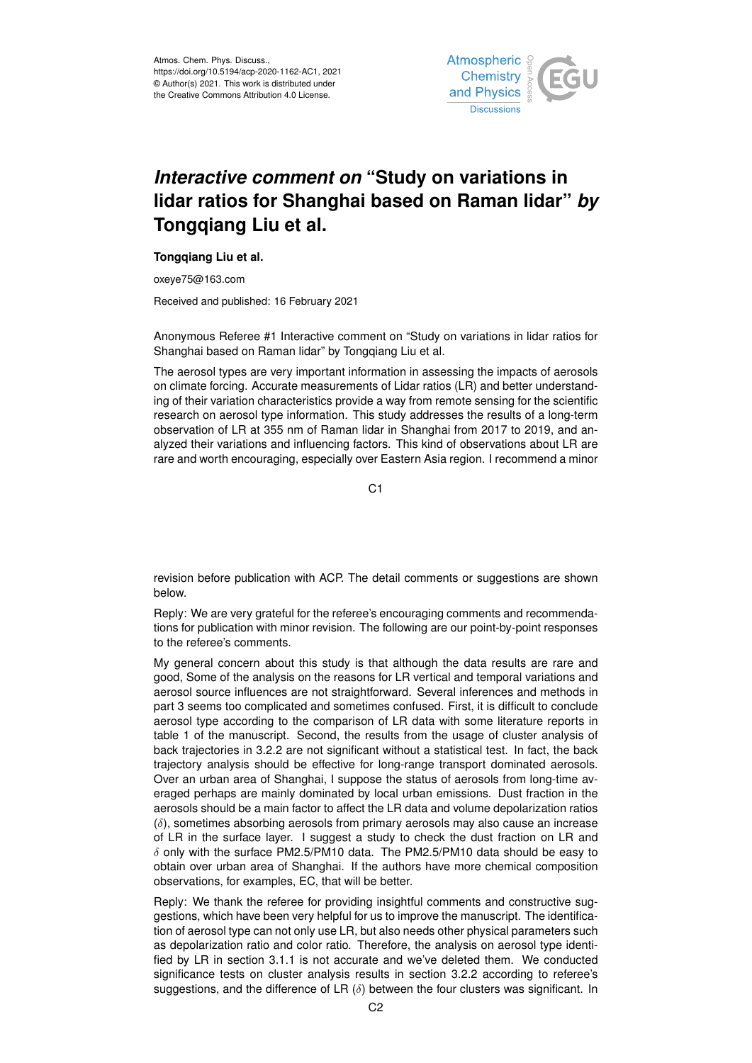

## *Interactive comment on* **"Study on variations in lidar ratios for Shanghai based on Raman lidar"** *by* **Tongqiang Liu et al.**

## **Tongqiang Liu et al.**

oxeye75@163.com

Received and published: 16 February 2021

Anonymous Referee #1 Interactive comment on "Study on variations in lidar ratios for Shanghai based on Raman lidar" by Tongqiang Liu et al.

The aerosol types are very important information in assessing the impacts of aerosols on climate forcing. Accurate measurements of Lidar ratios (LR) and better understanding of their variation characteristics provide a way from remote sensing for the scientific research on aerosol type information. This study addresses the results of a long-term observation of LR at 355 nm of Raman lidar in Shanghai from 2017 to 2019, and analyzed their variations and influencing factors. This kind of observations about LR are rare and worth encouraging, especially over Eastern Asia region. I recommend a minor

C<sub>1</sub>

revision before publication with ACP. The detail comments or suggestions are shown below.

Reply: We are very grateful for the referee's encouraging comments and recommendations for publication with minor revision. The following are our point-by-point responses to the referee's comments.

My general concern about this study is that although the data results are rare and good, Some of the analysis on the reasons for LR vertical and temporal variations and aerosol source influences are not straightforward. Several inferences and methods in part 3 seems too complicated and sometimes confused. First, it is difficult to conclude aerosol type according to the comparison of LR data with some literature reports in table 1 of the manuscript. Second, the results from the usage of cluster analysis of back trajectories in 3.2.2 are not significant without a statistical test. In fact, the back trajectory analysis should be effective for long-range transport dominated aerosols. Over an urban area of Shanghai, I suppose the status of aerosols from long-time averaged perhaps are mainly dominated by local urban emissions. Dust fraction in the aerosols should be a main factor to affect the LR data and volume depolarization ratios  $(\delta)$ , sometimes absorbing aerosols from primary aerosols may also cause an increase of LR in the surface layer. I suggest a study to check the dust fraction on LR and  $\delta$  only with the surface PM2.5/PM10 data. The PM2.5/PM10 data should be easy to obtain over urban area of Shanghai. If the authors have more chemical composition observations, for examples, EC, that will be better.

Reply: We thank the referee for providing insightful comments and constructive suggestions, which have been very helpful for us to improve the manuscript. The identification of aerosol type can not only use LR, but also needs other physical parameters such as depolarization ratio and color ratio. Therefore, the analysis on aerosol type identified by LR in section 3.1.1 is not accurate and we've deleted them. We conducted significance tests on cluster analysis results in section 3.2.2 according to referee's suggestions, and the difference of LR  $(\delta)$  between the four clusters was significant. In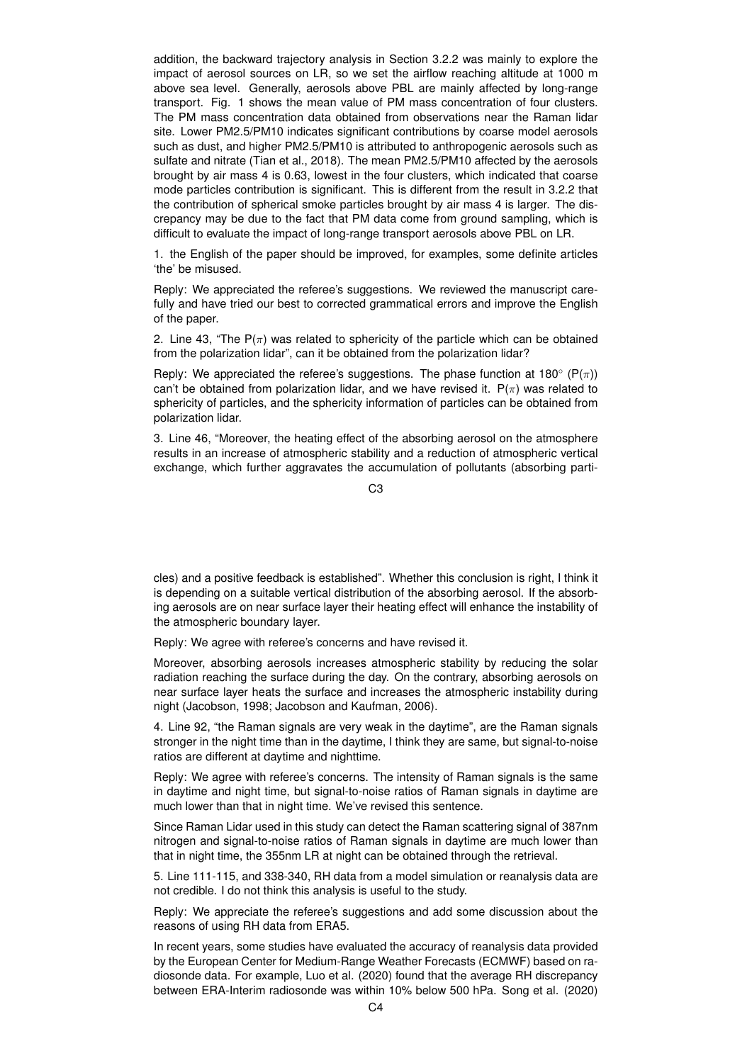addition, the backward trajectory analysis in Section 3.2.2 was mainly to explore the impact of aerosol sources on LR, so we set the airflow reaching altitude at 1000 m above sea level. Generally, aerosols above PBL are mainly affected by long-range transport. Fig. 1 shows the mean value of PM mass concentration of four clusters. The PM mass concentration data obtained from observations near the Raman lidar site. Lower PM2.5/PM10 indicates significant contributions by coarse model aerosols such as dust, and higher PM2.5/PM10 is attributed to anthropogenic aerosols such as sulfate and nitrate (Tian et al., 2018). The mean PM2.5/PM10 affected by the aerosols brought by air mass 4 is 0.63, lowest in the four clusters, which indicated that coarse mode particles contribution is significant. This is different from the result in 3.2.2 that the contribution of spherical smoke particles brought by air mass 4 is larger. The discrepancy may be due to the fact that PM data come from ground sampling, which is difficult to evaluate the impact of long-range transport aerosols above PBL on LR.

1. the English of the paper should be improved, for examples, some definite articles 'the' be misused.

Reply: We appreciated the referee's suggestions. We reviewed the manuscript carefully and have tried our best to corrected grammatical errors and improve the English of the paper.

2. Line 43, "The  $P(\pi)$  was related to sphericity of the particle which can be obtained from the polarization lidar", can it be obtained from the polarization lidar?

Reply: We appreciated the referee's suggestions. The phase function at 180 $^{\circ}$  (P( $\pi$ )) can't be obtained from polarization lidar, and we have revised it.  $P(\pi)$  was related to sphericity of particles, and the sphericity information of particles can be obtained from polarization lidar.

3. Line 46, "Moreover, the heating effect of the absorbing aerosol on the atmosphere results in an increase of atmospheric stability and a reduction of atmospheric vertical exchange, which further aggravates the accumulation of pollutants (absorbing parti-

C3

cles) and a positive feedback is established". Whether this conclusion is right, I think it is depending on a suitable vertical distribution of the absorbing aerosol. If the absorbing aerosols are on near surface layer their heating effect will enhance the instability of the atmospheric boundary layer.

Reply: We agree with referee's concerns and have revised it.

Moreover, absorbing aerosols increases atmospheric stability by reducing the solar radiation reaching the surface during the day. On the contrary, absorbing aerosols on near surface layer heats the surface and increases the atmospheric instability during night (Jacobson, 1998; Jacobson and Kaufman, 2006).

4. Line 92, "the Raman signals are very weak in the daytime", are the Raman signals stronger in the night time than in the daytime, I think they are same, but signal-to-noise ratios are different at daytime and nighttime.

Reply: We agree with referee's concerns. The intensity of Raman signals is the same in daytime and night time, but signal-to-noise ratios of Raman signals in daytime are much lower than that in night time. We've revised this sentence.

Since Raman Lidar used in this study can detect the Raman scattering signal of 387nm nitrogen and signal-to-noise ratios of Raman signals in daytime are much lower than that in night time, the 355nm LR at night can be obtained through the retrieval.

5. Line 111-115, and 338-340, RH data from a model simulation or reanalysis data are not credible. I do not think this analysis is useful to the study.

Reply: We appreciate the referee's suggestions and add some discussion about the reasons of using RH data from ERA5.

In recent years, some studies have evaluated the accuracy of reanalysis data provided by the European Center for Medium-Range Weather Forecasts (ECMWF) based on radiosonde data. For example, Luo et al. (2020) found that the average RH discrepancy between ERA-Interim radiosonde was within 10% below 500 hPa. Song et al. (2020)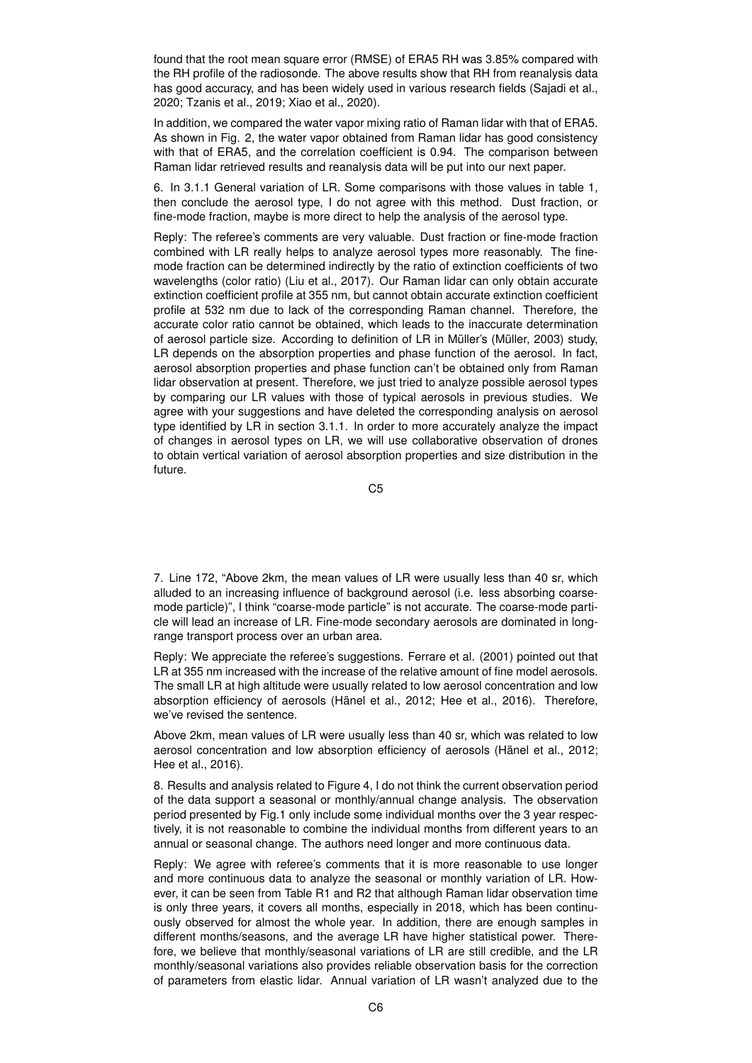found that the root mean square error (RMSE) of ERA5 RH was 3.85% compared with the RH profile of the radiosonde. The above results show that RH from reanalysis data has good accuracy, and has been widely used in various research fields (Sajadi et al., 2020; Tzanis et al., 2019; Xiao et al., 2020).

In addition, we compared the water vapor mixing ratio of Raman lidar with that of ERA5. As shown in Fig. 2, the water vapor obtained from Raman lidar has good consistency with that of ERA5, and the correlation coefficient is 0.94. The comparison between Raman lidar retrieved results and reanalysis data will be put into our next paper.

6. In 3.1.1 General variation of LR. Some comparisons with those values in table 1, then conclude the aerosol type, I do not agree with this method. Dust fraction, or fine-mode fraction, maybe is more direct to help the analysis of the aerosol type.

Reply: The referee's comments are very valuable. Dust fraction or fine-mode fraction combined with LR really helps to analyze aerosol types more reasonably. The finemode fraction can be determined indirectly by the ratio of extinction coefficients of two wavelengths (color ratio) (Liu et al., 2017). Our Raman lidar can only obtain accurate extinction coefficient profile at 355 nm, but cannot obtain accurate extinction coefficient profile at 532 nm due to lack of the corresponding Raman channel. Therefore, the accurate color ratio cannot be obtained, which leads to the inaccurate determination of aerosol particle size. According to definition of LR in Müller's (Müller, 2003) study, LR depends on the absorption properties and phase function of the aerosol. In fact, aerosol absorption properties and phase function can't be obtained only from Raman lidar observation at present. Therefore, we just tried to analyze possible aerosol types by comparing our LR values with those of typical aerosols in previous studies. We agree with your suggestions and have deleted the corresponding analysis on aerosol type identified by LR in section 3.1.1. In order to more accurately analyze the impact of changes in aerosol types on LR, we will use collaborative observation of drones to obtain vertical variation of aerosol absorption properties and size distribution in the future.

C5

7. Line 172, "Above 2km, the mean values of LR were usually less than 40 sr, which alluded to an increasing influence of background aerosol (i.e. less absorbing coarsemode particle)", I think "coarse-mode particle" is not accurate. The coarse-mode particle will lead an increase of LR. Fine-mode secondary aerosols are dominated in longrange transport process over an urban area.

Reply: We appreciate the referee's suggestions. Ferrare et al. (2001) pointed out that LR at 355 nm increased with the increase of the relative amount of fine model aerosols. The small LR at high altitude were usually related to low aerosol concentration and low absorption efficiency of aerosols (Hänel et al., 2012; Hee et al., 2016). Therefore, we've revised the sentence.

Above 2km, mean values of LR were usually less than 40 sr, which was related to low aerosol concentration and low absorption efficiency of aerosols (Hänel et al., 2012; Hee et al., 2016).

8. Results and analysis related to Figure 4, I do not think the current observation period of the data support a seasonal or monthly/annual change analysis. The observation period presented by Fig.1 only include some individual months over the 3 year respectively, it is not reasonable to combine the individual months from different years to an annual or seasonal change. The authors need longer and more continuous data.

Reply: We agree with referee's comments that it is more reasonable to use longer and more continuous data to analyze the seasonal or monthly variation of LR. However, it can be seen from Table R1 and R2 that although Raman lidar observation time is only three years, it covers all months, especially in 2018, which has been continuously observed for almost the whole year. In addition, there are enough samples in different months/seasons, and the average LR have higher statistical power. Therefore, we believe that monthly/seasonal variations of LR are still credible, and the LR monthly/seasonal variations also provides reliable observation basis for the correction of parameters from elastic lidar. Annual variation of LR wasn't analyzed due to the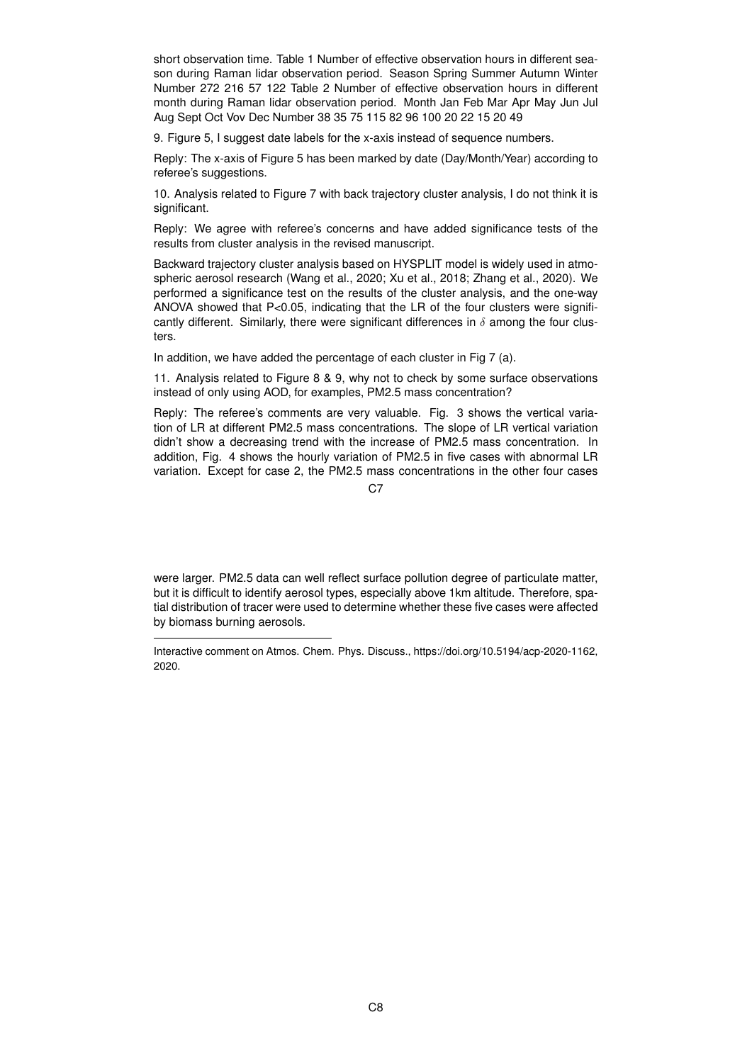short observation time. Table 1 Number of effective observation hours in different season during Raman lidar observation period. Season Spring Summer Autumn Winter Number 272 216 57 122 Table 2 Number of effective observation hours in different month during Raman lidar observation period. Month Jan Feb Mar Apr May Jun Jul Aug Sept Oct Vov Dec Number 38 35 75 115 82 96 100 20 22 15 20 49

9. Figure 5, I suggest date labels for the x-axis instead of sequence numbers.

Reply: The x-axis of Figure 5 has been marked by date (Day/Month/Year) according to referee's suggestions.

10. Analysis related to Figure 7 with back trajectory cluster analysis, I do not think it is significant.

Reply: We agree with referee's concerns and have added significance tests of the results from cluster analysis in the revised manuscript.

Backward trajectory cluster analysis based on HYSPLIT model is widely used in atmospheric aerosol research (Wang et al., 2020; Xu et al., 2018; Zhang et al., 2020). We performed a significance test on the results of the cluster analysis, and the one-way ANOVA showed that  $P < 0.05$ , indicating that the LR of the four clusters were significantly different. Similarly, there were significant differences in  $\delta$  among the four clusters.

In addition, we have added the percentage of each cluster in Fig 7 (a).

11. Analysis related to Figure 8 & 9, why not to check by some surface observations instead of only using AOD, for examples, PM2.5 mass concentration?

Reply: The referee's comments are very valuable. Fig. 3 shows the vertical variation of LR at different PM2.5 mass concentrations. The slope of LR vertical variation didn't show a decreasing trend with the increase of PM2.5 mass concentration. In addition, Fig. 4 shows the hourly variation of PM2.5 in five cases with abnormal LR variation. Except for case 2, the PM2.5 mass concentrations in the other four cases

 $C<sub>2</sub>$ 

were larger. PM2.5 data can well reflect surface pollution degree of particulate matter, but it is difficult to identify aerosol types, especially above 1km altitude. Therefore, spatial distribution of tracer were used to determine whether these five cases were affected by biomass burning aerosols.

Interactive comment on Atmos. Chem. Phys. Discuss., https://doi.org/10.5194/acp-2020-1162, 2020.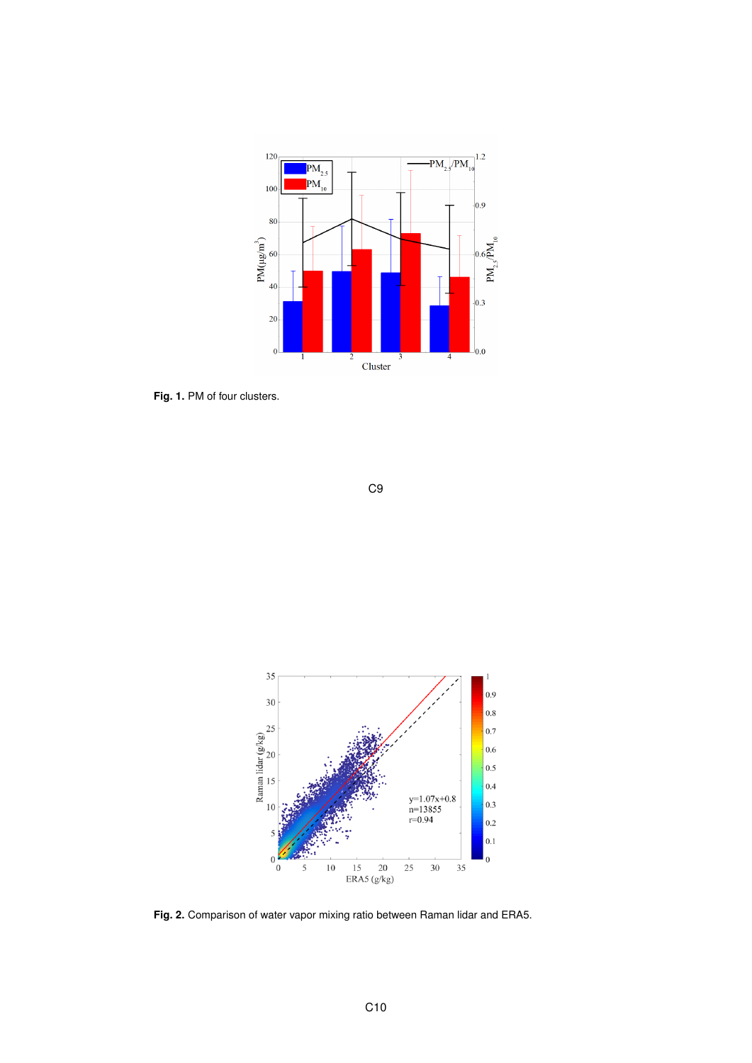

**Fig. 1.** PM of four clusters.





**Fig. 2.** Comparison of water vapor mixing ratio between Raman lidar and ERA5.